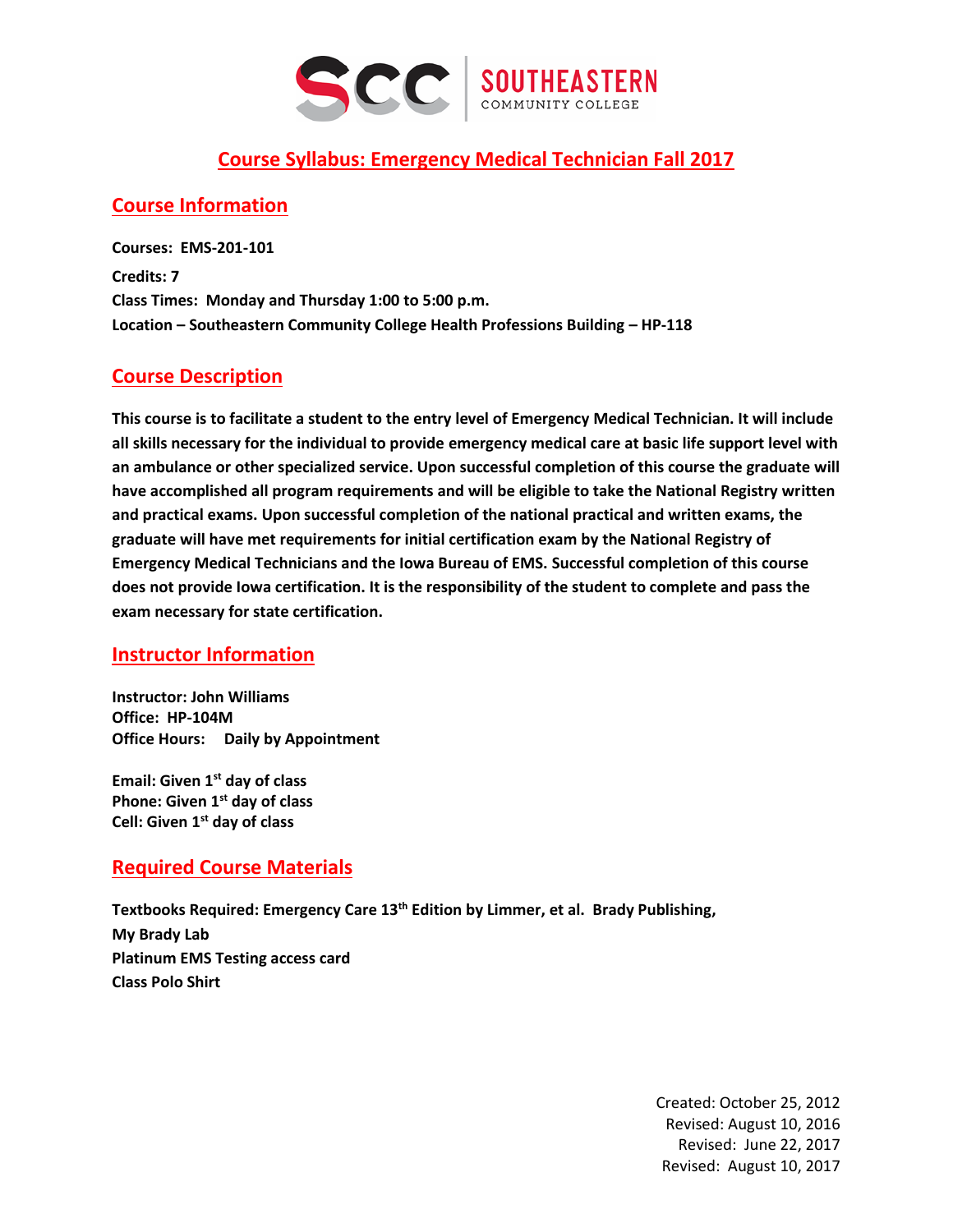

## **Course Syllabus: Emergency Medical Technician Fall 2017**

### **Course Information**

**Courses: EMS-201-101 Credits: 7 Class Times: Monday and Thursday 1:00 to 5:00 p.m. Location – Southeastern Community College Health Professions Building – HP-118**

### **Course Description**

**This course is to facilitate a student to the entry level of Emergency Medical Technician. It will include all skills necessary for the individual to provide emergency medical care at basic life support level with an ambulance or other specialized service. Upon successful completion of this course the graduate will have accomplished all program requirements and will be eligible to take the National Registry written and practical exams. Upon successful completion of the national practical and written exams, the graduate will have met requirements for initial certification exam by the National Registry of Emergency Medical Technicians and the Iowa Bureau of EMS. Successful completion of this course does not provide Iowa certification. It is the responsibility of the student to complete and pass the exam necessary for state certification.**

#### **Instructor Information**

**Instructor: John Williams Office: HP-104M Office Hours: Daily by Appointment**

**Email: Given 1st day of class Phone: Given 1st day of class Cell: Given 1st day of class**

#### **Required Course Materials**

**Textbooks Required: Emergency Care 13th Edition by Limmer, et al. Brady Publishing, My Brady Lab Platinum EMS Testing access card Class Polo Shirt**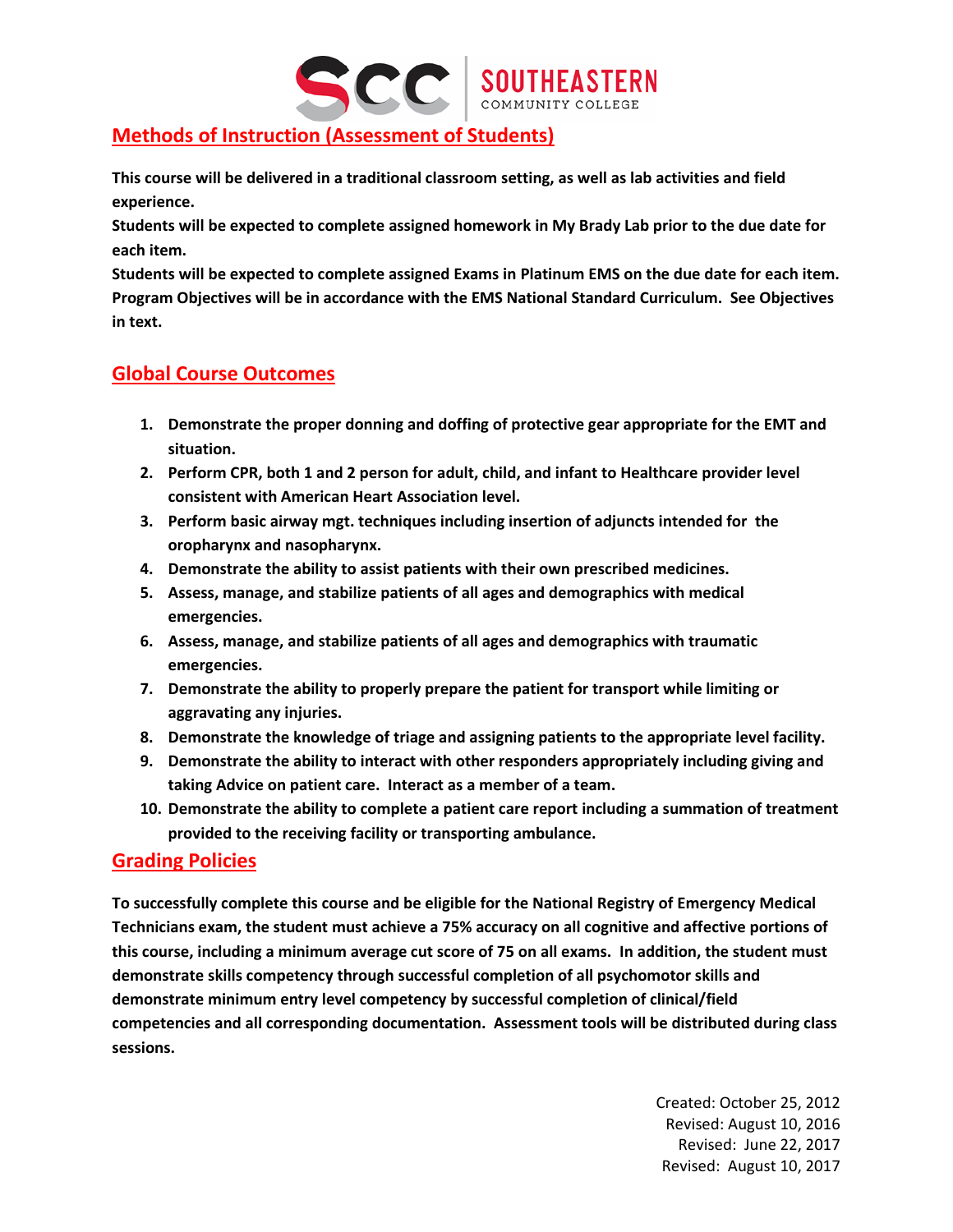

# **Methods of Instruction (Assessment of Students)**

**This course will be delivered in a traditional classroom setting, as well as lab activities and field experience.** 

**Students will be expected to complete assigned homework in My Brady Lab prior to the due date for each item.**

**Students will be expected to complete assigned Exams in Platinum EMS on the due date for each item. Program Objectives will be in accordance with the EMS National Standard Curriculum. See Objectives in text.**

## **Global Course Outcomes**

- **1. Demonstrate the proper donning and doffing of protective gear appropriate for the EMT and situation.**
- **2. Perform CPR, both 1 and 2 person for adult, child, and infant to Healthcare provider level consistent with American Heart Association level.**
- **3. Perform basic airway mgt. techniques including insertion of adjuncts intended for the oropharynx and nasopharynx.**
- **4. Demonstrate the ability to assist patients with their own prescribed medicines.**
- **5. Assess, manage, and stabilize patients of all ages and demographics with medical emergencies.**
- **6. Assess, manage, and stabilize patients of all ages and demographics with traumatic emergencies.**
- **7. Demonstrate the ability to properly prepare the patient for transport while limiting or aggravating any injuries.**
- **8. Demonstrate the knowledge of triage and assigning patients to the appropriate level facility.**
- **9. Demonstrate the ability to interact with other responders appropriately including giving and taking Advice on patient care. Interact as a member of a team.**
- **10. Demonstrate the ability to complete a patient care report including a summation of treatment provided to the receiving facility or transporting ambulance.**

#### **Grading Policies**

**To successfully complete this course and be eligible for the National Registry of Emergency Medical Technicians exam, the student must achieve a 75% accuracy on all cognitive and affective portions of this course, including a minimum average cut score of 75 on all exams. In addition, the student must demonstrate skills competency through successful completion of all psychomotor skills and demonstrate minimum entry level competency by successful completion of clinical/field competencies and all corresponding documentation. Assessment tools will be distributed during class sessions.**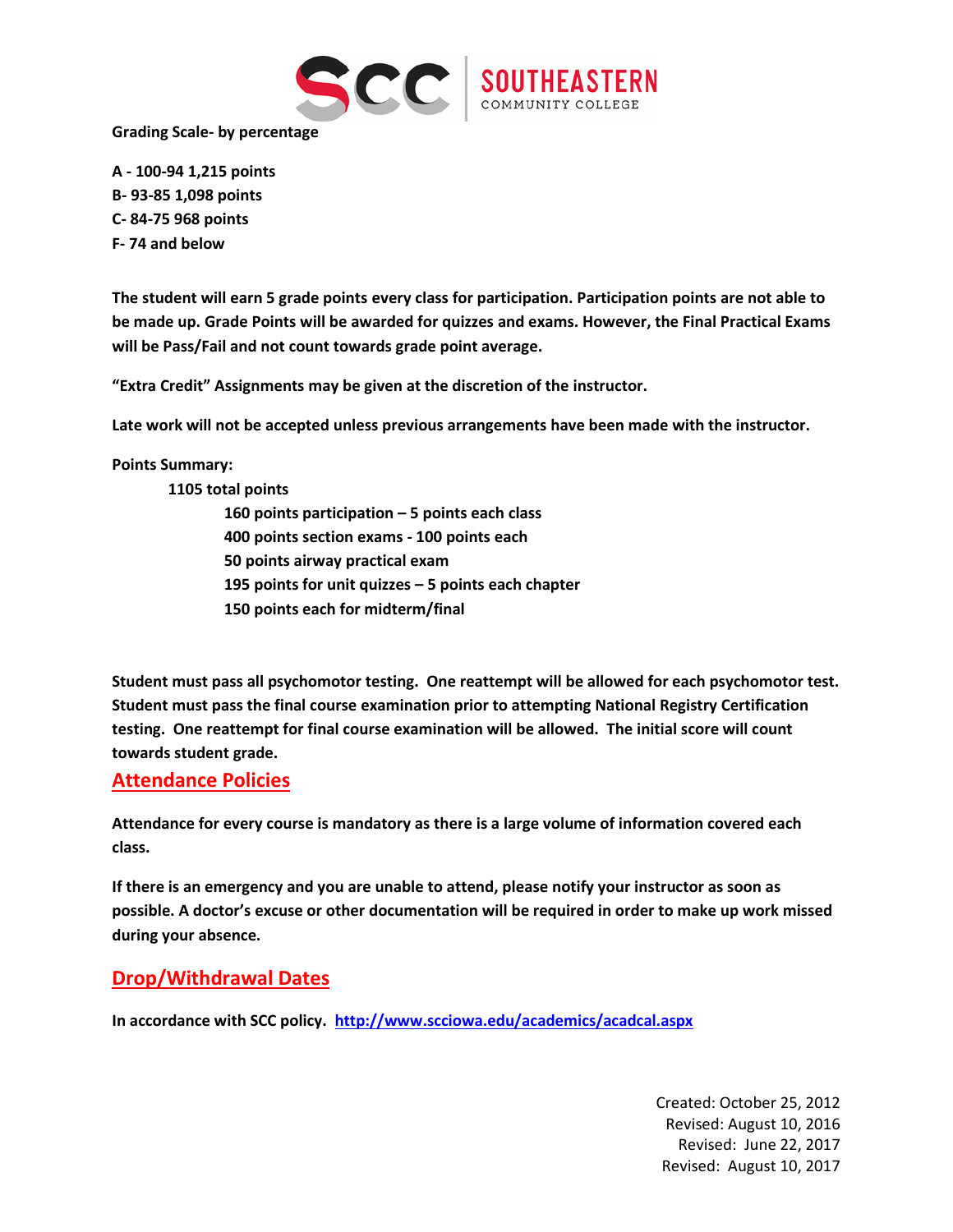

**Grading Scale- by percentage**

**A - 100-94 1,215 points B- 93-85 1,098 points C- 84-75 968 points F- 74 and below**

**The student will earn 5 grade points every class for participation. Participation points are not able to be made up. Grade Points will be awarded for quizzes and exams. However, the Final Practical Exams will be Pass/Fail and not count towards grade point average.** 

**"Extra Credit" Assignments may be given at the discretion of the instructor.**

**Late work will not be accepted unless previous arrangements have been made with the instructor.**

**Points Summary:**

**1105 total points**

 **points participation – 5 points each class 400 points section exams - 100 points each points airway practical exam points for unit quizzes – 5 points each chapter points each for midterm/final**

**Student must pass all psychomotor testing. One reattempt will be allowed for each psychomotor test. Student must pass the final course examination prior to attempting National Registry Certification testing. One reattempt for final course examination will be allowed. The initial score will count towards student grade.**

#### **Attendance Policies**

**Attendance for every course is mandatory as there is a large volume of information covered each class.**

**If there is an emergency and you are unable to attend, please notify your instructor as soon as possible. A doctor's excuse or other documentation will be required in order to make up work missed during your absence.** 

#### **Drop/Withdrawal Dates**

**In accordance with SCC policy. <http://www.scciowa.edu/academics/acadcal.aspx>**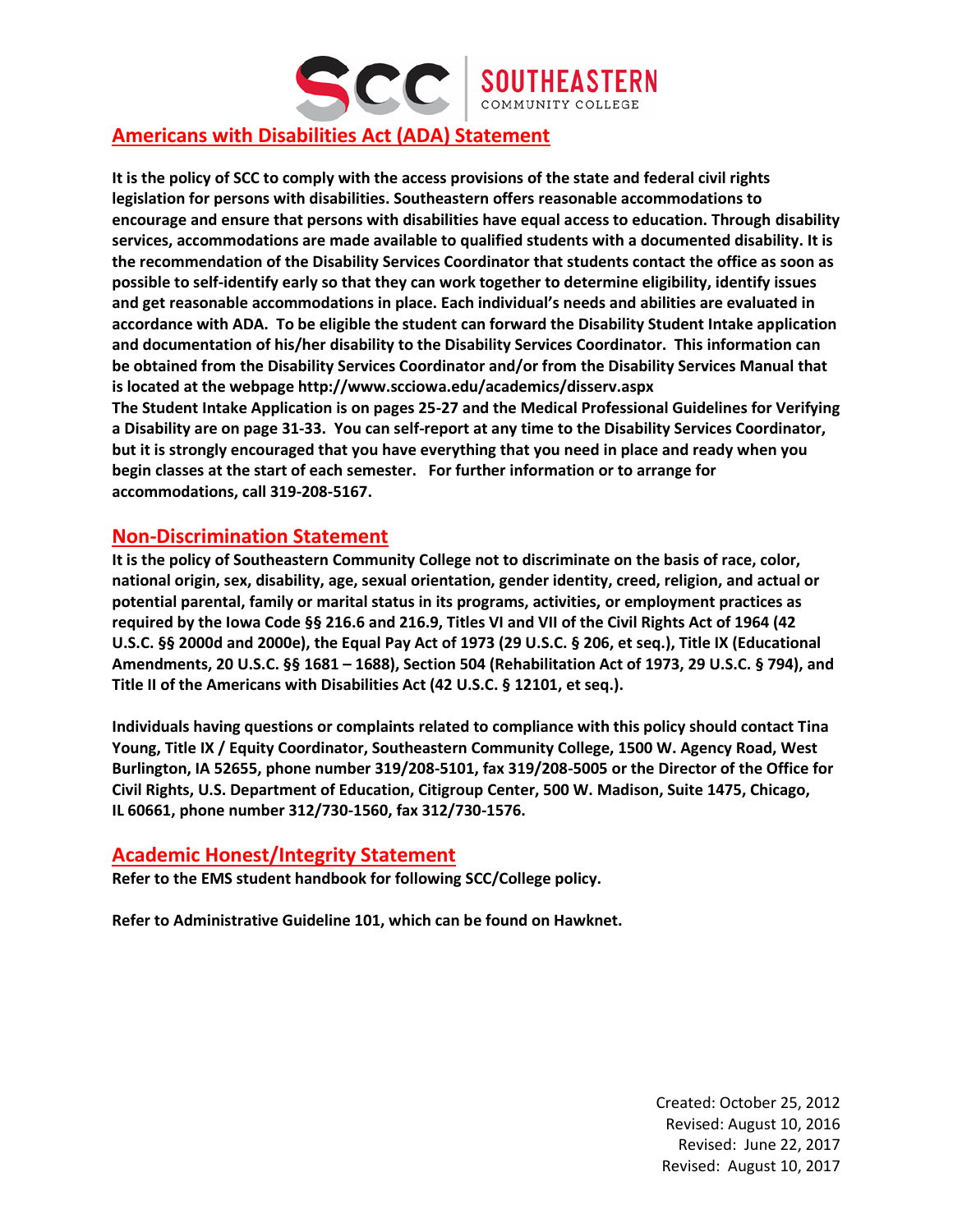

## **Americans with Disabilities Act (ADA) Statement**

**It is the policy of SCC to comply with the access provisions of the state and federal civil rights legislation for persons with disabilities. Southeastern offers reasonable accommodations to encourage and ensure that persons with disabilities have equal access to education. Through disability services, accommodations are made available to qualified students with a documented disability. It is the recommendation of the Disability Services Coordinator that students contact the office as soon as possible to self-identify early so that they can work together to determine eligibility, identify issues and get reasonable accommodations in place. Each individual's needs and abilities are evaluated in accordance with ADA. To be eligible the student can forward the Disability Student Intake application and documentation of his/her disability to the Disability Services Coordinator. This information can be obtained from the Disability Services Coordinator and/or from the Disability Services Manual that is located at the webpage http://www.scciowa.edu/academics/disserv.aspx The Student Intake Application is on pages 25-27 and the Medical Professional Guidelines for Verifying a Disability are on page 31-33. You can self-report at any time to the Disability Services Coordinator, but it is strongly encouraged that you have everything that you need in place and ready when you begin classes at the start of each semester. For further information or to arrange for accommodations, call 319-208-5167.**

#### **Non-Discrimination Statement**

**It is the policy of Southeastern Community College not to discriminate on the basis of race, color, national origin, sex, disability, age, sexual orientation, gender identity, creed, religion, and actual or potential parental, family or marital status in its programs, activities, or employment practices as required by the Iowa Code §§ 216.6 and 216.9, Titles VI and VII of the Civil Rights Act of 1964 (42 U.S.C. §§ 2000d and 2000e), the Equal Pay Act of 1973 (29 U.S.C. § 206, et seq.), Title IX (Educational Amendments, 20 U.S.C. §§ 1681 – 1688), Section 504 (Rehabilitation Act of 1973, 29 U.S.C. § 794), and Title II of the Americans with Disabilities Act (42 U.S.C. § 12101, et seq.).**

**Individuals having questions or complaints related to compliance with this policy should contact Tina Young, Title IX / Equity Coordinator, Southeastern Community College, 1500 W. Agency Road, West Burlington, IA 52655, phone number 319/208-5101, fax 319/208-5005 or the Director of the Office for Civil Rights, U.S. Department of Education, Citigroup Center, 500 W. Madison, Suite 1475, Chicago, IL 60661, phone number 312/730-1560, fax 312/730-1576.**

#### **Academic Honest/Integrity Statement**

**Refer to the EMS student handbook for following SCC/College policy.**

**Refer to Administrative Guideline 101, which can be found on Hawknet.**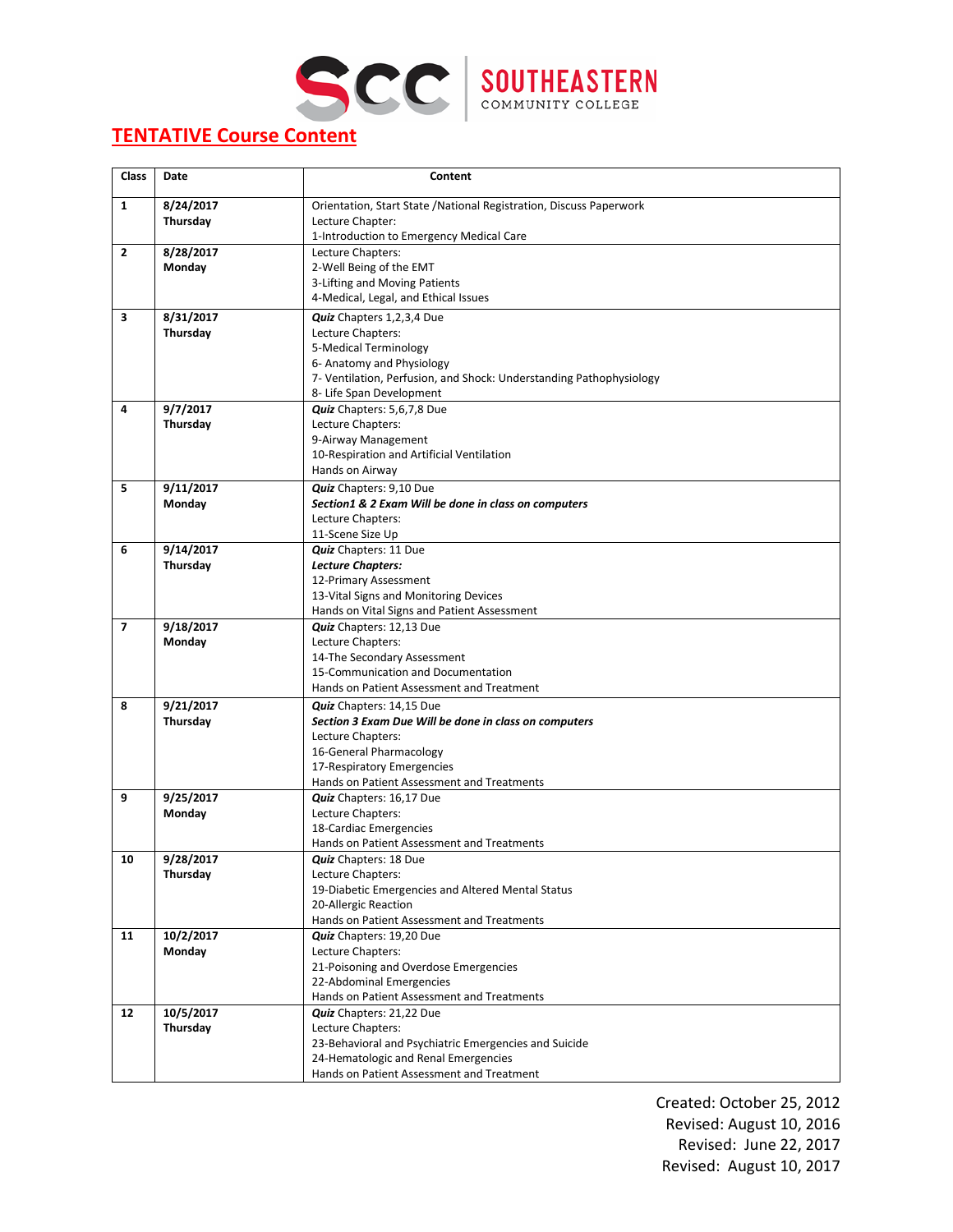



# **TENTATIVE Course Content**

| <b>Class</b>   | Date                  | Content                                                              |
|----------------|-----------------------|----------------------------------------------------------------------|
| $\mathbf{1}$   | 8/24/2017             | Orientation, Start State / National Registration, Discuss Paperwork  |
|                | Thursday              | Lecture Chapter:                                                     |
|                |                       | 1-Introduction to Emergency Medical Care                             |
| $\overline{2}$ | 8/28/2017             | Lecture Chapters:                                                    |
|                | Monday                | 2-Well Being of the EMT                                              |
|                |                       | 3-Lifting and Moving Patients                                        |
|                |                       | 4-Medical, Legal, and Ethical Issues                                 |
| 3              | 8/31/2017             | Quiz Chapters 1,2,3,4 Due                                            |
|                | Thursday              | Lecture Chapters:                                                    |
|                |                       | 5-Medical Terminology                                                |
|                |                       | 6- Anatomy and Physiology                                            |
|                |                       | 7- Ventilation, Perfusion, and Shock: Understanding Pathophysiology  |
|                |                       | 8- Life Span Development                                             |
| 4              | 9/7/2017              | Quiz Chapters: 5,6,7,8 Due                                           |
|                | Thursday              | Lecture Chapters:                                                    |
|                |                       | 9-Airway Management                                                  |
|                |                       | 10-Respiration and Artificial Ventilation                            |
|                |                       | Hands on Airway                                                      |
| 5              | 9/11/2017             | Quiz Chapters: 9,10 Due                                              |
|                | Monday                | Section1 & 2 Exam Will be done in class on computers                 |
|                |                       | Lecture Chapters:                                                    |
|                |                       | 11-Scene Size Up                                                     |
| 6              | 9/14/2017             | <b>Quiz</b> Chapters: 11 Due                                         |
|                | Thursday              | <b>Lecture Chapters:</b>                                             |
|                |                       | 12-Primary Assessment                                                |
|                |                       | 13-Vital Signs and Monitoring Devices                                |
|                |                       | Hands on Vital Signs and Patient Assessment                          |
| $\overline{7}$ | 9/18/2017             | Quiz Chapters: 12,13 Due                                             |
|                | Monday                | Lecture Chapters:                                                    |
|                |                       | 14-The Secondary Assessment                                          |
|                |                       | 15-Communication and Documentation                                   |
|                |                       | Hands on Patient Assessment and Treatment                            |
| 8              | 9/21/2017             | Quiz Chapters: 14,15 Due                                             |
|                | Thursday              | Section 3 Exam Due Will be done in class on computers                |
|                |                       | Lecture Chapters:                                                    |
|                |                       | 16-General Pharmacology                                              |
|                |                       | 17-Respiratory Emergencies                                           |
|                |                       | Hands on Patient Assessment and Treatments                           |
| 9              | 9/25/2017             | Quiz Chapters: 16,17 Due                                             |
|                | Monday                | Lecture Chapters:                                                    |
|                |                       | 18-Cardiac Emergencies<br>Hands on Patient Assessment and Treatments |
| 10             |                       |                                                                      |
|                | 9/28/2017<br>Thursday | <b>Quiz</b> Chapters: 18 Due<br>Lecture Chapters:                    |
|                |                       | 19-Diabetic Emergencies and Altered Mental Status                    |
|                |                       | 20-Allergic Reaction                                                 |
|                |                       | Hands on Patient Assessment and Treatments                           |
| 11             | 10/2/2017             | Quiz Chapters: 19,20 Due                                             |
|                | Monday                | Lecture Chapters:                                                    |
|                |                       | 21-Poisoning and Overdose Emergencies                                |
|                |                       | 22-Abdominal Emergencies                                             |
|                |                       | Hands on Patient Assessment and Treatments                           |
| 12             | 10/5/2017             | Quiz Chapters: 21,22 Due                                             |
|                | Thursday              | Lecture Chapters:                                                    |
|                |                       | 23-Behavioral and Psychiatric Emergencies and Suicide                |
|                |                       | 24-Hematologic and Renal Emergencies                                 |
|                |                       | Hands on Patient Assessment and Treatment                            |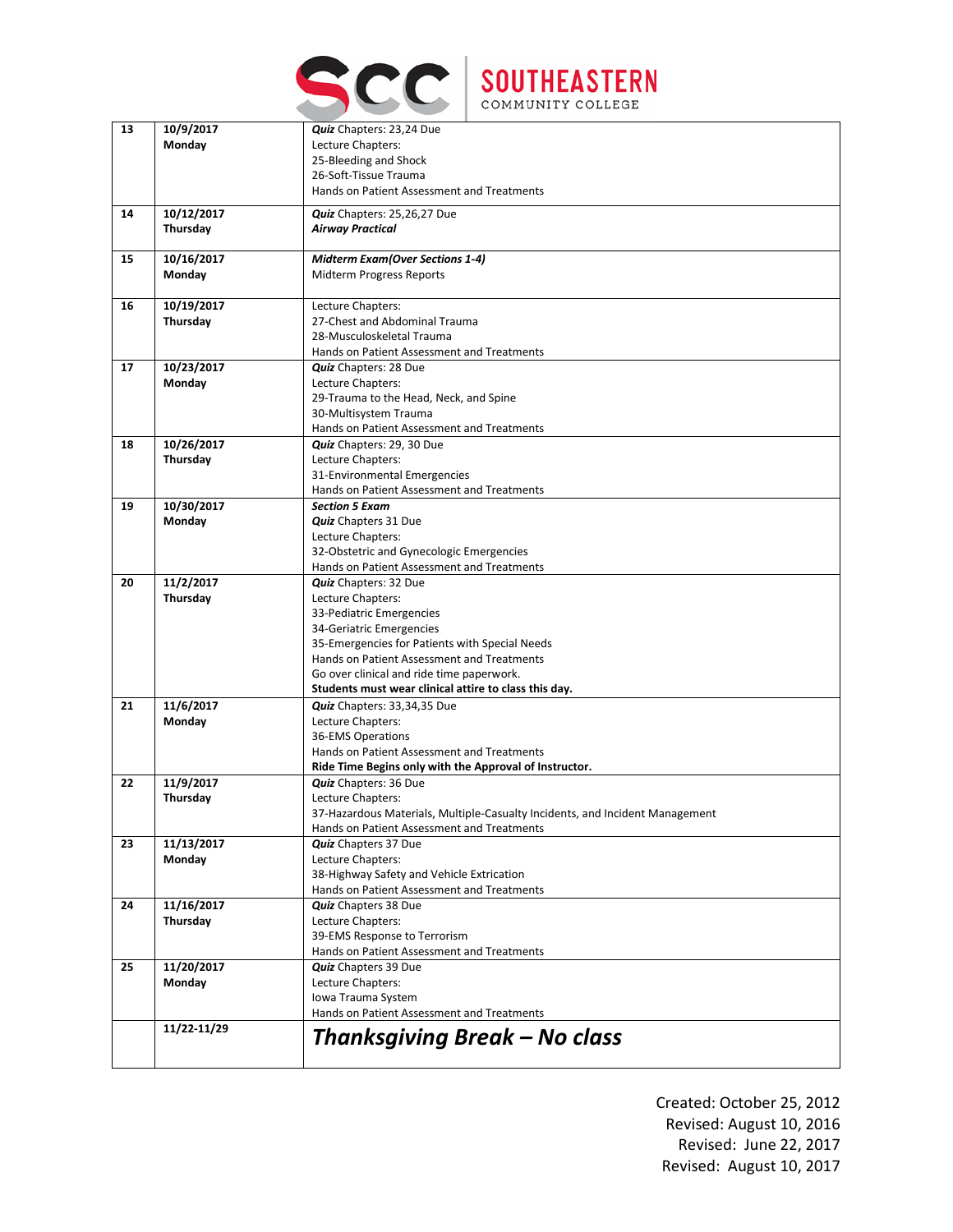



| 13 | 10/9/2017   | Quiz Chapters: 23,24 Due                                                     |
|----|-------------|------------------------------------------------------------------------------|
|    | Monday      | Lecture Chapters:                                                            |
|    |             | 25-Bleeding and Shock                                                        |
|    |             | 26-Soft-Tissue Trauma                                                        |
|    |             | Hands on Patient Assessment and Treatments                                   |
| 14 | 10/12/2017  | Quiz Chapters: 25,26,27 Due                                                  |
|    | Thursday    | <b>Airway Practical</b>                                                      |
|    |             |                                                                              |
| 15 | 10/16/2017  | <b>Midterm Exam(Over Sections 1-4)</b>                                       |
|    | Monday      | Midterm Progress Reports                                                     |
|    |             |                                                                              |
| 16 | 10/19/2017  | Lecture Chapters:                                                            |
|    | Thursday    | 27-Chest and Abdominal Trauma                                                |
|    |             | 28-Musculoskeletal Trauma                                                    |
|    |             | Hands on Patient Assessment and Treatments                                   |
| 17 | 10/23/2017  | Quiz Chapters: 28 Due                                                        |
|    | Monday      | Lecture Chapters:                                                            |
|    |             | 29-Trauma to the Head, Neck, and Spine                                       |
|    |             | 30-Multisystem Trauma                                                        |
|    |             | Hands on Patient Assessment and Treatments                                   |
| 18 | 10/26/2017  | Quiz Chapters: 29, 30 Due                                                    |
|    | Thursday    | Lecture Chapters:                                                            |
|    |             | 31-Environmental Emergencies                                                 |
|    |             | Hands on Patient Assessment and Treatments                                   |
| 19 | 10/30/2017  | <b>Section 5 Exam</b>                                                        |
|    | Monday      | <b>Quiz</b> Chapters 31 Due                                                  |
|    |             | Lecture Chapters:                                                            |
|    |             | 32-Obstetric and Gynecologic Emergencies                                     |
|    |             | Hands on Patient Assessment and Treatments                                   |
| 20 | 11/2/2017   | Quiz Chapters: 32 Due                                                        |
|    | Thursday    | Lecture Chapters:                                                            |
|    |             | 33-Pediatric Emergencies                                                     |
|    |             | 34-Geriatric Emergencies                                                     |
|    |             | 35-Emergencies for Patients with Special Needs                               |
|    |             | Hands on Patient Assessment and Treatments                                   |
|    |             | Go over clinical and ride time paperwork.                                    |
|    |             | Students must wear clinical attire to class this day.                        |
| 21 | 11/6/2017   | Quiz Chapters: 33,34,35 Due                                                  |
|    | Monday      | Lecture Chapters:                                                            |
|    |             | 36-EMS Operations                                                            |
|    |             | Hands on Patient Assessment and Treatments                                   |
|    |             | Ride Time Begins only with the Approval of Instructor.                       |
| 22 | 11/9/2017   | <b>Quiz</b> Chapters: 36 Due                                                 |
|    | Thursday    | Lecture Chapters:                                                            |
|    |             | 37-Hazardous Materials, Multiple-Casualty Incidents, and Incident Management |
|    |             | Hands on Patient Assessment and Treatments                                   |
| 23 | 11/13/2017  | <b>Quiz</b> Chapters 37 Due                                                  |
|    | Monday      | Lecture Chapters:                                                            |
|    |             | 38-Highway Safety and Vehicle Extrication                                    |
| 24 |             | Hands on Patient Assessment and Treatments                                   |
|    | 11/16/2017  | <b>Quiz</b> Chapters 38 Due<br>Lecture Chapters:                             |
|    | Thursday    |                                                                              |
|    |             | 39-EMS Response to Terrorism                                                 |
|    |             | Hands on Patient Assessment and Treatments                                   |
| 25 | 11/20/2017  | <b>Quiz</b> Chapters 39 Due                                                  |
|    | Monday      | Lecture Chapters:                                                            |
|    |             | Iowa Trauma System<br>Hands on Patient Assessment and Treatments             |
|    |             |                                                                              |
|    | 11/22-11/29 | Thanksgiving Break – No class                                                |
|    |             |                                                                              |